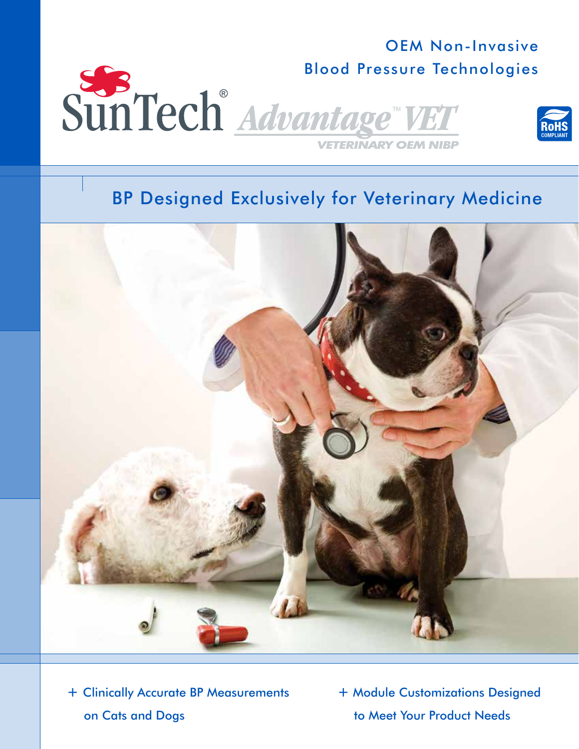## Blood Pressure Technologies<br>SUNTech<sup>®</sup> Advantage<sup>®</sup> VET **VETERINARY OEM NIBP**





+ Clinically Accurate BP Measurements on Cats and Dogs

+ Module Customizations Designed to Meet Your Product Needs

OEM Non-Invasive